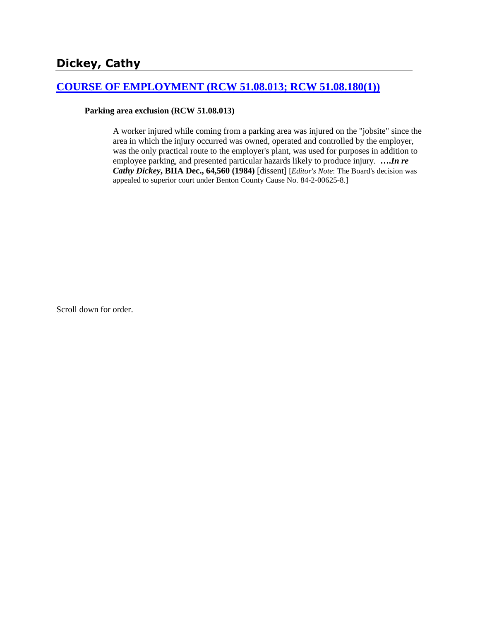# **[COURSE OF EMPLOYMENT \(RCW 51.08.013; RCW 51.08.180\(1\)\)](http://www.biia.wa.gov/SDSubjectIndex.html#COURSE_OF_EMPLOYMENT)**

#### **Parking area exclusion (RCW 51.08.013)**

A worker injured while coming from a parking area was injured on the "jobsite" since the area in which the injury occurred was owned, operated and controlled by the employer, was the only practical route to the employer's plant, was used for purposes in addition to employee parking, and presented particular hazards likely to produce injury. **….***In re Cathy Dickey***, BIIA Dec., 64,560 (1984)** [dissent] [*Editor's Note*: The Board's decision was appealed to superior court under Benton County Cause No. 84-2-00625-8.]

Scroll down for order.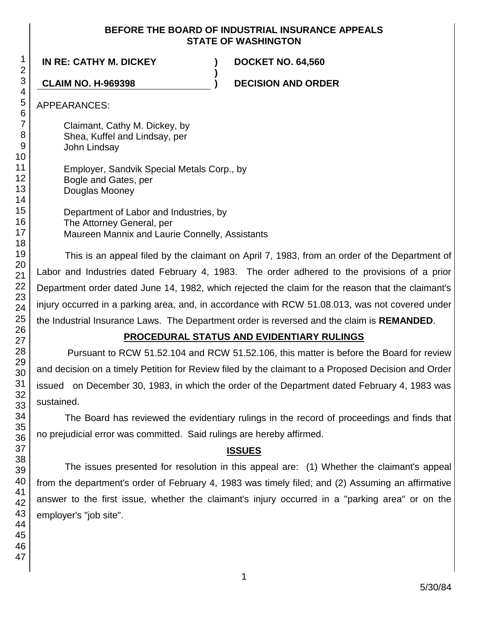## **BEFORE THE BOARD OF INDUSTRIAL INSURANCE APPEALS STATE OF WASHINGTON**

**)**

**IN RE: CATHY M. DICKEY ) DOCKET NO. 64,560**

**CLAIM NO. H-969398 ) DECISION AND ORDER**

APPEARANCES:

Claimant, Cathy M. Dickey, by Shea, Kuffel and Lindsay, per John Lindsay

Employer, Sandvik Special Metals Corp., by Bogle and Gates, per Douglas Mooney

Department of Labor and Industries, by The Attorney General, per Maureen Mannix and Laurie Connelly, Assistants

This is an appeal filed by the claimant on April 7, 1983, from an order of the Department of Labor and Industries dated February 4, 1983. The order adhered to the provisions of a prior Department order dated June 14, 1982, which rejected the claim for the reason that the claimant's injury occurred in a parking area, and, in accordance with RCW 51.08.013, was not covered under the Industrial Insurance Laws. The Department order is reversed and the claim is **REMANDED**.

# **PROCEDURAL STATUS AND EVIDENTIARY RULINGS**

Pursuant to RCW 51.52.104 and RCW 51.52.106, this matter is before the Board for review and decision on a timely Petition for Review filed by the claimant to a Proposed Decision and Order issued on December 30, 1983, in which the order of the Department dated February 4, 1983 was sustained.

The Board has reviewed the evidentiary rulings in the record of proceedings and finds that no prejudicial error was committed. Said rulings are hereby affirmed.

# **ISSUES**

The issues presented for resolution in this appeal are: (1) Whether the claimant's appeal from the department's order of February 4, 1983 was timely filed; and (2) Assuming an affirmative answer to the first issue, whether the claimant's injury occurred in a "parking area" or on the employer's "job site".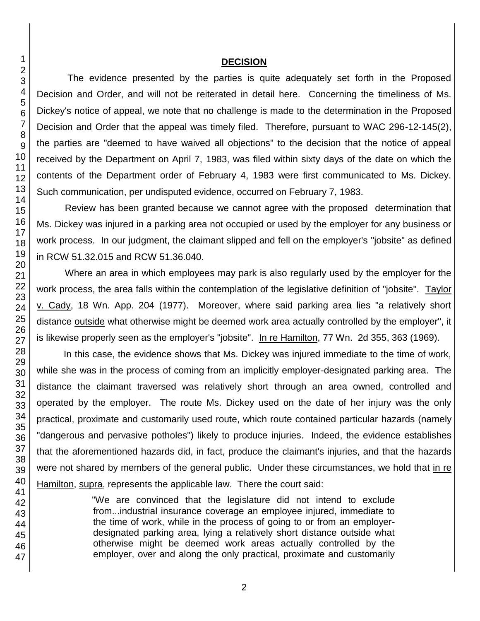### **DECISION**

The evidence presented by the parties is quite adequately set forth in the Proposed Decision and Order, and will not be reiterated in detail here. Concerning the timeliness of Ms. Dickey's notice of appeal, we note that no challenge is made to the determination in the Proposed Decision and Order that the appeal was timely filed. Therefore, pursuant to WAC 296-12-145(2), the parties are "deemed to have waived all objections" to the decision that the notice of appeal received by the Department on April 7, 1983, was filed within sixty days of the date on which the contents of the Department order of February 4, 1983 were first communicated to Ms. Dickey. Such communication, per undisputed evidence, occurred on February 7, 1983.

Review has been granted because we cannot agree with the proposed determination that Ms. Dickey was injured in a parking area not occupied or used by the employer for any business or work process. In our judgment, the claimant slipped and fell on the employer's "jobsite" as defined in RCW 51.32.015 and RCW 51.36.040.

Where an area in which employees may park is also regularly used by the employer for the work process, the area falls within the contemplation of the legislative definition of "jobsite". Taylor v. Cady, 18 Wn. App. 204 (1977). Moreover, where said parking area lies "a relatively short distance outside what otherwise might be deemed work area actually controlled by the employer", it is likewise properly seen as the employer's "jobsite". In re Hamilton, 77 Wn. 2d 355, 363 (1969).

In this case, the evidence shows that Ms. Dickey was injured immediate to the time of work, while she was in the process of coming from an implicitly employer-designated parking area. The distance the claimant traversed was relatively short through an area owned, controlled and operated by the employer. The route Ms. Dickey used on the date of her injury was the only practical, proximate and customarily used route, which route contained particular hazards (namely "dangerous and pervasive potholes") likely to produce injuries. Indeed, the evidence establishes that the aforementioned hazards did, in fact, produce the claimant's injuries, and that the hazards were not shared by members of the general public. Under these circumstances, we hold that in re Hamilton, supra, represents the applicable law. There the court said:

> "We are convinced that the legislature did not intend to exclude from...industrial insurance coverage an employee injured, immediate to the time of work, while in the process of going to or from an employerdesignated parking area, lying a relatively short distance outside what otherwise might be deemed work areas actually controlled by the employer, over and along the only practical, proximate and customarily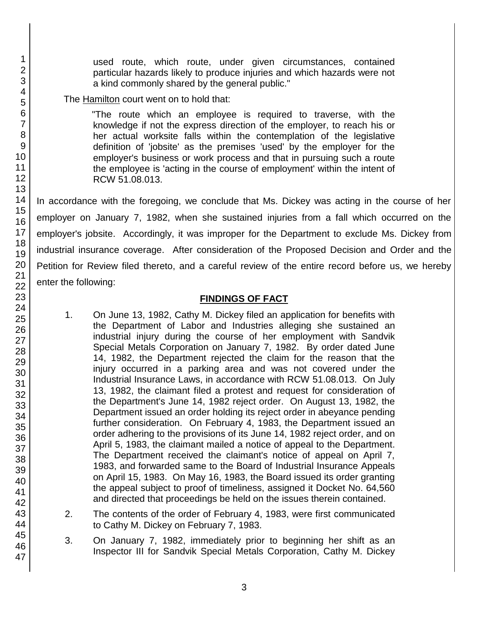used route, which route, under given circumstances, contained particular hazards likely to produce injuries and which hazards were not a kind commonly shared by the general public."

The Hamilton court went on to hold that:

"The route which an employee is required to traverse, with the knowledge if not the express direction of the employer, to reach his or her actual worksite falls within the contemplation of the legislative definition of 'jobsite' as the premises 'used' by the employer for the employer's business or work process and that in pursuing such a route the employee is 'acting in the course of employment' within the intent of RCW 51.08.013.

In accordance with the foregoing, we conclude that Ms. Dickey was acting in the course of her employer on January 7, 1982, when she sustained injuries from a fall which occurred on the employer's jobsite. Accordingly, it was improper for the Department to exclude Ms. Dickey from industrial insurance coverage. After consideration of the Proposed Decision and Order and the Petition for Review filed thereto, and a careful review of the entire record before us, we hereby enter the following:

# **FINDINGS OF FACT**

- 1. On June 13, 1982, Cathy M. Dickey filed an application for benefits with the Department of Labor and Industries alleging she sustained an industrial injury during the course of her employment with Sandvik Special Metals Corporation on January 7, 1982. By order dated June 14, 1982, the Department rejected the claim for the reason that the injury occurred in a parking area and was not covered under the Industrial Insurance Laws, in accordance with RCW 51.08.013. On July 13, 1982, the claimant filed a protest and request for consideration of the Department's June 14, 1982 reject order. On August 13, 1982, the Department issued an order holding its reject order in abeyance pending further consideration. On February 4, 1983, the Department issued an order adhering to the provisions of its June 14, 1982 reject order, and on April 5, 1983, the claimant mailed a notice of appeal to the Department. The Department received the claimant's notice of appeal on April 7, 1983, and forwarded same to the Board of Industrial Insurance Appeals on April 15, 1983. On May 16, 1983, the Board issued its order granting the appeal subject to proof of timeliness, assigned it Docket No. 64,560 and directed that proceedings be held on the issues therein contained.
- 2. The contents of the order of February 4, 1983, were first communicated to Cathy M. Dickey on February 7, 1983.
- 3. On January 7, 1982, immediately prior to beginning her shift as an Inspector III for Sandvik Special Metals Corporation, Cathy M. Dickey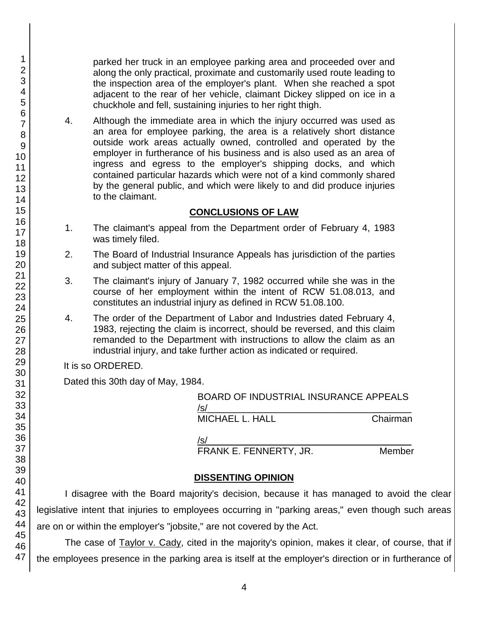parked her truck in an employee parking area and proceeded over and along the only practical, proximate and customarily used route leading to the inspection area of the employer's plant. When she reached a spot adjacent to the rear of her vehicle, claimant Dickey slipped on ice in a chuckhole and fell, sustaining injuries to her right thigh.

4. Although the immediate area in which the injury occurred was used as an area for employee parking, the area is a relatively short distance outside work areas actually owned, controlled and operated by the employer in furtherance of his business and is also used as an area of ingress and egress to the employer's shipping docks, and which contained particular hazards which were not of a kind commonly shared by the general public, and which were likely to and did produce injuries to the claimant.

## **CONCLUSIONS OF LAW**

- 1. The claimant's appeal from the Department order of February 4, 1983 was timely filed.
- 2. The Board of Industrial Insurance Appeals has jurisdiction of the parties and subject matter of this appeal.
- 3. The claimant's injury of January 7, 1982 occurred while she was in the course of her employment within the intent of RCW 51.08.013, and constitutes an industrial injury as defined in RCW 51.08.100.
- 4. The order of the Department of Labor and Industries dated February 4, 1983, rejecting the claim is incorrect, should be reversed, and this claim remanded to the Department with instructions to allow the claim as an industrial injury, and take further action as indicated or required.

It is so ORDERED.

Dated this 30th day of May, 1984.

BOARD OF INDUSTRIAL INSURANCE APPEALS  $/$ s/ $\sim$ MICHAEL L. HALL Chairman

/s/  $\,$ FRANK E. FENNERTY, JR. Member

# **DISSENTING OPINION**

I disagree with the Board majority's decision, because it has managed to avoid the clear legislative intent that injuries to employees occurring in "parking areas," even though such areas are on or within the employer's "jobsite," are not covered by the Act.

The case of Taylor v. Cady, cited in the majority's opinion, makes it clear, of course, that if the employees presence in the parking area is itself at the employer's direction or in furtherance of